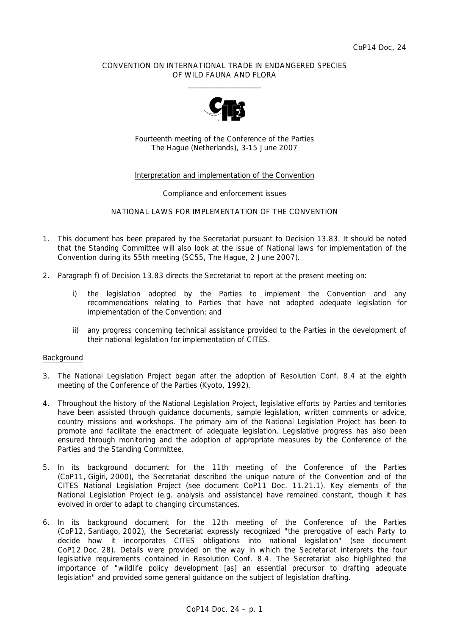## CONVENTION ON INTERNATIONAL TRADE IN ENDANGERED SPECIES OF WILD FAUNA AND FLORA  $\frac{1}{2}$  , and the set of the set of the set of the set of the set of the set of the set of the set of the set of the set of the set of the set of the set of the set of the set of the set of the set of the set of the set



Fourteenth meeting of the Conference of the Parties The Hague (Netherlands), 3-15 June 2007

## Interpretation and implementation of the Convention

#### Compliance and enforcement issues

## NATIONAL LAWS FOR IMPLEMENTATION OF THE CONVENTION

- 1. This document has been prepared by the Secretariat pursuant to Decision 13.83. It should be noted that the Standing Committee will also look at the issue of National laws for implementation of the Convention during its 55th meeting (SC55, The Hague, 2 June 2007).
- 2. Paragraph f) of Decision 13.83 directs the Secretariat to report at the present meeting on:
	- *i) the legislation adopted by the Parties to implement the Convention and any recommendations relating to Parties that have not adopted adequate legislation for implementation of the Convention; and*
	- *ii) any progress concerning technical assistance provided to the Parties in the development of their national legislation for implementation of CITES.*

#### Background

- 3. The National Legislation Project began after the adoption of Resolution Conf. 8.4 at the eighth meeting of the Conference of the Parties (Kyoto, 1992).
- 4. Throughout the history of the National Legislation Project, legislative efforts by Parties and territories have been assisted through guidance documents, sample legislation, written comments or advice, country missions and workshops. The primary aim of the National Legislation Project has been to promote and facilitate the enactment of adequate legislation. Legislative progress has also been ensured through monitoring and the adoption of appropriate measures by the Conference of the Parties and the Standing Committee.
- 5. In its background document for the 11th meeting of the Conference of the Parties (CoP11, Gigiri, 2000), the Secretariat described the unique nature of the Convention and of the CITES National Legislation Project (see document CoP11 Doc. 11.21.1). Key elements of the National Legislation Project (e.g. analysis and assistance) have remained constant, though it has evolved in order to adapt to changing circumstances.
- 6. In its background document for the 12th meeting of the Conference of the Parties (CoP12, Santiago, 2002), the Secretariat expressly recognized "the prerogative of each Party to decide how it incorporates CITES obligations into national legislation" (see document CoP12 Doc. 28). Details were provided on the way in which the Secretariat interprets the four legislative requirements contained in Resolution Conf. 8.4. The Secretariat also highlighted the importance of "wildlife policy development [as] an essential precursor to drafting adequate legislation" and provided some general guidance on the subject of legislation drafting.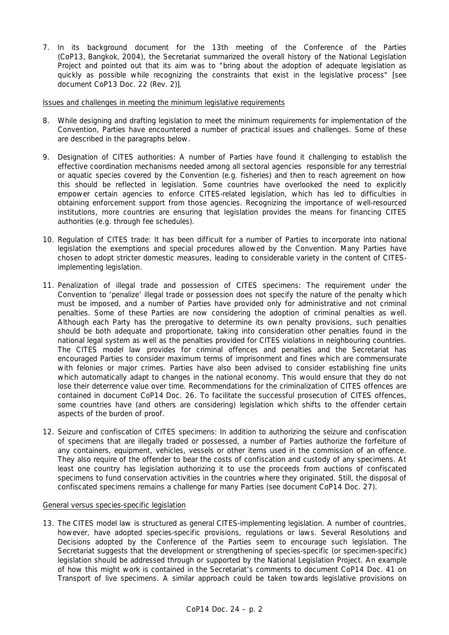7. In its background document for the 13th meeting of the Conference of the Parties (CoP13, Bangkok, 2004), the Secretariat summarized the overall history of the National Legislation Project and pointed out that its aim was to "bring about the adoption of adequate legislation as quickly as possible while recognizing the constraints that exist in the legislative process" [see document CoP13 Doc. 22 (Rev. 2)].

Issues and challenges in meeting the minimum legislative requirements

- 8. While designing and drafting legislation to meet the minimum requirements for implementation of the Convention, Parties have encountered a number of practical issues and challenges. Some of these are described in the paragraphs below.
- 9. Designation of CITES authorities: A number of Parties have found it challenging to establish the effective coordination mechanisms needed among all sectoral agencies responsible for any terrestrial or aquatic species covered by the Convention (e.g. fisheries) and then to reach agreement on how this should be reflected in legislation. Some countries have overlooked the need to explicitly empower certain agencies to enforce CITES-related legislation, which has led to difficulties in obtaining enforcement support from those agencies. Recognizing the importance of well-resourced institutions, more countries are ensuring that legislation provides the means for financing CITES authorities (e.g. through fee schedules).
- 10. Regulation of CITES trade: It has been difficult for a number of Parties to incorporate into national legislation the exemptions and special procedures allowed by the Convention. Many Parties have chosen to adopt stricter domestic measures, leading to considerable variety in the content of CITESimplementing legislation.
- 11. Penalization of illegal trade and possession of CITES specimens: The requirement under the Convention to 'penalize' illegal trade or possession does not specify the nature of the penalty which must be imposed, and a number of Parties have provided only for administrative and not criminal penalties. Some of these Parties are now considering the adoption of criminal penalties as well. Although each Party has the prerogative to determine its own penalty provisions, such penalties should be both adequate and proportionate, taking into consideration other penalties found in the national legal system as well as the penalties provided for CITES violations in neighbouring countries. The CITES model law provides for criminal offences and penalties and the Secretariat has encouraged Parties to consider maximum terms of imprisonment and fines which are commensurate with felonies or major crimes. Parties have also been advised to consider establishing fine units which automatically adapt to changes in the national economy. This would ensure that they do not lose their deterrence value over time. Recommendations for the criminalization of CITES offences are contained in document CoP14 Doc. 26. To facilitate the successful prosecution of CITES offences, some countries have (and others are considering) legislation which shifts to the offender certain aspects of the burden of proof.
- 12. Seizure and confiscation of CITES specimens: In addition to authorizing the seizure and confiscation of specimens that are illegally traded or possessed, a number of Parties authorize the forfeiture of any containers, equipment, vehicles, vessels or other items used in the commission of an offence. They also require of the offender to bear the costs of confiscation and custody of any specimens. At least one country has legislation authorizing it to use the proceeds from auctions of confiscated specimens to fund conservation activities in the countries where they originated. Still, the disposal of confiscated specimens remains a challenge for many Parties (see document CoP14 Doc. 27).

## General versus species-specific legislation

13. The CITES model law is structured as general CITES-implementing legislation. A number of countries, however, have adopted species-specific provisions, regulations or laws. Several Resolutions and Decisions adopted by the Conference of the Parties seem to encourage such legislation. The Secretariat suggests that the development or strengthening of species-specific (or specimen-specific) legislation should be addressed through or supported by the National Legislation Project. An example of how this might work is contained in the Secretariat's comments to document CoP14 Doc. 41 on Transport of live specimens. A similar approach could be taken towards legislative provisions on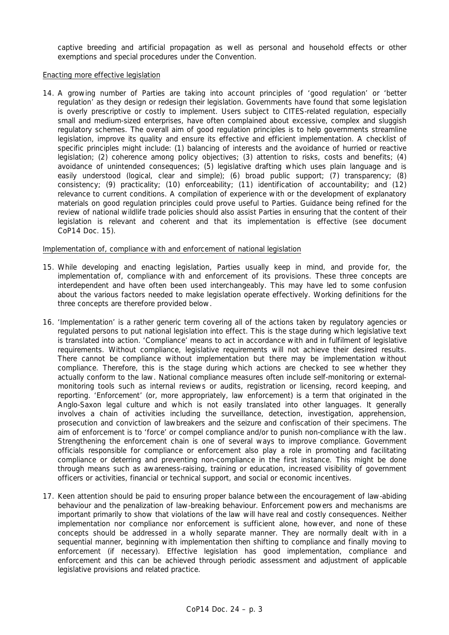captive breeding and artificial propagation as well as personal and household effects or other exemptions and special procedures under the Convention.

#### Enacting more effective legislation

14. A growing number of Parties are taking into account principles of 'good regulation' or 'better regulation' as they design or redesign their legislation. Governments have found that some legislation is overly prescriptive or costly to implement. Users subject to CITES-related regulation, especially small and medium-sized enterprises, have often complained about excessive, complex and sluggish regulatory schemes. The overall aim of good regulation principles is to help governments streamline legislation, improve its quality and ensure its effective and efficient implementation. A checklist of specific principles might include: (1) balancing of interests and the avoidance of hurried or reactive legislation; (2) coherence among policy objectives; (3) attention to risks, costs and benefits; (4) avoidance of unintended consequences; (5) legislative drafting which uses plain language and is easily understood (logical, clear and simple); (6) broad public support; (7) transparency; (8) consistency; (9) practicality; (10) enforceability; (11) identification of accountability; and (12) relevance to current conditions. A compilation of experience with or the development of explanatory materials on good regulation principles could prove useful to Parties. Guidance being refined for the review of national wildlife trade policies should also assist Parties in ensuring that the content of their legislation is relevant and coherent and that its implementation is effective (see document CoP14 Doc. 15).

## Implementation of, compliance with and enforcement of national legislation

- 15. While developing and enacting legislation, Parties usually keep in mind, and provide for, the implementation of, compliance with and enforcement of its provisions. These three concepts are interdependent and have often been used interchangeably. This may have led to some confusion about the various factors needed to make legislation operate effectively. Working definitions for the three concepts are therefore provided below.
- 16. 'Implementation' is a rather generic term covering all of the actions taken by regulatory agencies or regulated persons to put national legislation into effect. This is the stage during which legislative text is translated into action. 'Compliance' means to act in accordance with and in fulfilment of legislative requirements. Without compliance, legislative requirements will not achieve their desired results. There cannot be compliance without implementation but there may be implementation without compliance. Therefore, this is the stage during which actions are checked to see whether they actually conform to the law. National compliance measures often include self-monitoring or externalmonitoring tools such as internal reviews or audits, registration or licensing, record keeping, and reporting. 'Enforcement' (or, more appropriately, law enforcement) is a term that originated in the Anglo-Saxon legal culture and which is not easily translated into other languages. It generally involves a chain of activities including the surveillance, detection, investigation, apprehension, prosecution and conviction of lawbreakers and the seizure and confiscation of their specimens. The aim of enforcement is to 'force' or compel compliance and/or to punish non-compliance with the law. Strengthening the enforcement chain is one of several ways to improve compliance. Government officials responsible for compliance or enforcement also play a role in promoting and facilitating compliance or deterring and preventing non-compliance in the first instance. This might be done through means such as awareness-raising, training or education, increased visibility of government officers or activities, financial or technical support, and social or economic incentives.
- 17. Keen attention should be paid to ensuring proper balance between the encouragement of law-abiding behaviour and the penalization of law-breaking behaviour. Enforcement powers and mechanisms are important primarily to show that violations of the law will have real and costly consequences. Neither implementation nor compliance nor enforcement is sufficient alone, however, and none of these concepts should be addressed in a wholly separate manner. They are normally dealt with in a sequential manner, beginning with implementation then shifting to compliance and finally moving to enforcement (if necessary). Effective legislation has good implementation, compliance and enforcement and this can be achieved through periodic assessment and adjustment of applicable legislative provisions and related practice.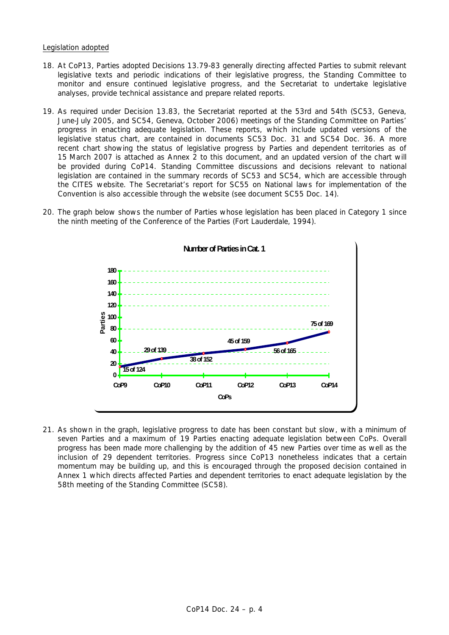## Legislation adopted

- 18. At CoP13, Parties adopted Decisions 13.79-83 generally directing affected Parties to submit relevant legislative texts and periodic indications of their legislative progress, the Standing Committee to monitor and ensure continued legislative progress, and the Secretariat to undertake legislative analyses, provide technical assistance and prepare related reports.
- 19. As required under Decision 13.83, the Secretariat reported at the 53rd and 54th (SC53, Geneva, June-July 2005, and SC54, Geneva, October 2006) meetings of the Standing Committee on Parties' progress in enacting adequate legislation. These reports, which include updated versions of the legislative status chart, are contained in documents SC53 Doc. 31 and SC54 Doc. 36. A more recent chart showing the status of legislative progress by Parties and dependent territories as of 15 March 2007 is attached as Annex 2 to this document, and an updated version of the chart will be provided during CoP14. Standing Committee discussions and decisions relevant to national legislation are contained in the summary records of SC53 and SC54, which are accessible through the CITES website. The Secretariat's report for SC55 on National laws for implementation of the Convention is also accessible through the website (see document SC55 Doc. 14).
- 20. The graph below shows the number of Parties whose legislation has been placed in Category 1 since the ninth meeting of the Conference of the Parties (Fort Lauderdale, 1994).



21. As shown in the graph, legislative progress to date has been constant but slow, with a minimum of seven Parties and a maximum of 19 Parties enacting adequate legislation between CoPs. Overall progress has been made more challenging by the addition of 45 new Parties over time as well as the inclusion of 29 dependent territories. Progress since CoP13 nonetheless indicates that a certain momentum may be building up, and this is encouraged through the proposed decision contained in Annex 1 which directs affected Parties and dependent territories to enact adequate legislation by the 58th meeting of the Standing Committee (SC58).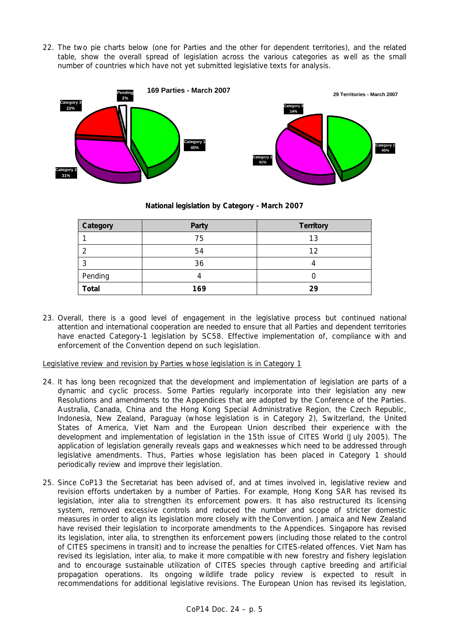22. The two pie charts below (one for Parties and the other for dependent territories), and the related table, show the overall spread of legislation across the various categories as well as the small number of countries which have not yet submitted legislative texts for analysis.



# **National legislation by Category - March 2007**

| Category     | Party | <b>Territory</b> |
|--------------|-------|------------------|
|              | 75    | 13               |
|              | 54    | 12               |
|              | 36    |                  |
| Pending      |       |                  |
| <b>Total</b> | 169   | 29               |

23. Overall, there is a good level of engagement in the legislative process but continued national attention and international cooperation are needed to ensure that all Parties and dependent territories have enacted Category-1 legislation by SC58. Effective implementation of, compliance with and enforcement of the Convention depend on such legislation.

Legislative review and revision by Parties whose legislation is in Category 1

- 24. It has long been recognized that the development and implementation of legislation are parts of a dynamic and cyclic process. Some Parties regularly incorporate into their legislation any new Resolutions and amendments to the Appendices that are adopted by the Conference of the Parties. Australia, Canada, China and the Hong Kong Special Administrative Region, the Czech Republic, Indonesia, New Zealand, Paraguay (whose legislation is in Category 2), Switzerland, the United States of America, Viet Nam and the European Union described their experience with the development and implementation of legislation in the 15th issue of *CITES World* (July 2005). The application of legislation generally reveals gaps and weaknesses which need to be addressed through legislative amendments. Thus, Parties whose legislation has been placed in Category 1 should periodically review and improve their legislation.
- 25. Since CoP13 the Secretariat has been advised of, and at times involved in, legislative review and revision efforts undertaken by a number of Parties. For example, Hong Kong SAR has revised its legislation, *inter alia* to strengthen its enforcement powers. It has also restructured its licensing system, removed excessive controls and reduced the number and scope of stricter domestic measures in order to align its legislation more closely with the Convention. Jamaica and New Zealand have revised their legislation to incorporate amendments to the Appendices. Singapore has revised its legislation, *inter alia*, to strengthen its enforcement powers (including those related to the control of CITES specimens in transit) and to increase the penalties for CITES-related offences. Viet Nam has revised its legislation, *inter alia*, to make it more compatible with new forestry and fishery legislation and to encourage sustainable utilization of CITES species through captive breeding and artificial propagation operations. Its ongoing wildlife trade policy review is expected to result in recommendations for additional legislative revisions. The European Union has revised its legislation,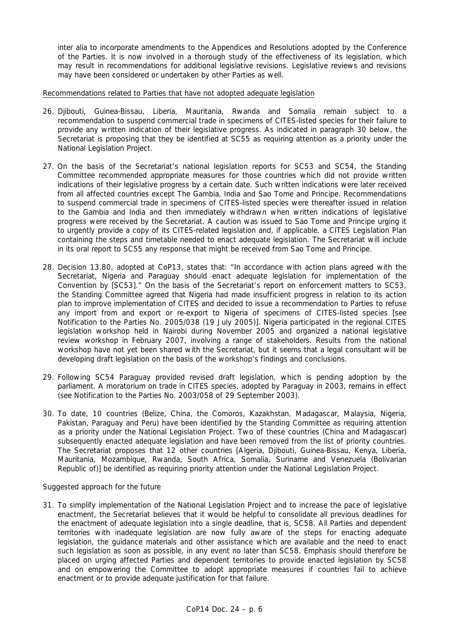*inter alia* to incorporate amendments to the Appendices and Resolutions adopted by the Conference of the Parties. It is now involved in a thorough study of the effectiveness of its legislation, which may result in recommendations for additional legislative revisions. Legislative reviews and revisions may have been considered or undertaken by other Parties as well.

#### Recommendations related to Parties that have not adopted adequate legislation

- 26. Djibouti, Guinea-Bissau, Liberia, Mauritania, Rwanda and Somalia remain subject to a recommendation to suspend commercial trade in specimens of CITES-listed species for their failure to provide any written indication of their legislative progress. As indicated in paragraph 30 below, the Secretariat is proposing that they be identified at SC55 as requiring attention as a priority under the National Legislation Project.
- 27. On the basis of the Secretariat's national legislation reports for SC53 and SC54, the Standing Committee recommended appropriate measures for those countries which did not provide written indications of their legislative progress by a certain date. Such written indications were later received from all affected countries except The Gambia, India and Sao Tome and Principe. Recommendations to suspend commercial trade in specimens of CITES-listed species were thereafter issued in relation to the Gambia and India and then immediately withdrawn when written indications of legislative progress were received by the Secretariat. A caution was issued to Sao Tome and Principe urging it to urgently provide a copy of its CITES-related legislation and, if applicable, a CITES Legislation Plan containing the steps and timetable needed to enact adequate legislation. The Secretariat will include in its oral report to SC55 any response that might be received from Sao Tome and Principe.
- 28. Decision 13.80, adopted at CoP13, states that: "In accordance with action plans agreed with the Secretariat, Nigeria and Paraguay should enact adequate legislation for implementation of the Convention by [SC53]." On the basis of the Secretariat's report on enforcement matters to SC53, the Standing Committee agreed that Nigeria had made insufficient progress in relation to its action plan to improve implementation of CITES and decided to issue a recommendation to Parties to refuse any import from and export or re-export to Nigeria of specimens of CITES-listed species [see Notification to the Parties No. 2005/038 (19 July 2005)]. Nigeria participated in the regional CITES legislation workshop held in Nairobi during November 2005 and organized a national legislative review workshop in February 2007, involving a range of stakeholders. Results from the national workshop have not yet been shared with the Secretariat, but it seems that a legal consultant will be developing draft legislation on the basis of the workshop's findings and conclusions.
- 29. Following SC54 Paraguay provided revised draft legislation, which is pending adoption by the parliament. A moratorium on trade in CITES species, adopted by Paraguay in 2003, remains in effect (see Notification to the Parties No. 2003/058 of 29 September 2003).
- 30. To date, 10 countries (Belize, China, the Comoros, Kazakhstan, Madagascar, Malaysia, Nigeria, Pakistan, Paraguay and Peru) have been identified by the Standing Committee as requiring attention as a priority under the National Legislation Project. Two of these countries (China and Madagascar) subsequently enacted adequate legislation and have been removed from the list of priority countries. The Secretariat proposes that 12 other countries [Algeria, Djibouti, Guinea-Bissau, Kenya, Liberia, Mauritania, Mozambique, Rwanda, South Africa, Somalia, Suriname and Venezuela (Bolivarian Republic of)] be identified as requiring priority attention under the National Legislation Project.

## *Suggested approach for the future*

31. To simplify implementation of the National Legislation Project and to increase the pace of legislative enactment, the Secretariat believes that it would be helpful to consolidate all previous deadlines for the enactment of adequate legislation into a single deadline, that is, SC58. All Parties and dependent territories with inadequate legislation are now fully aware of the steps for enacting adequate legislation, the guidance materials and other assistance which are available and the need to enact such legislation as soon as possible, in any event no later than SC58. Emphasis should therefore be placed on urging affected Parties and dependent territories to provide enacted legislation by SC58 and on empowering the Committee to adopt appropriate measures if countries fail to achieve enactment or to provide adequate justification for that failure.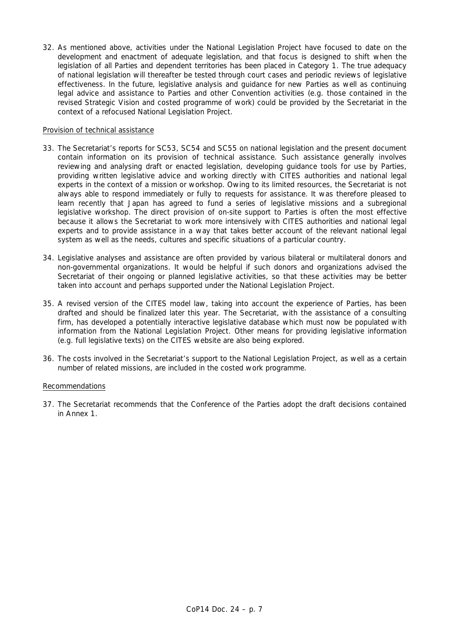32. As mentioned above, activities under the National Legislation Project have focused to date on the development and enactment of adequate legislation, and that focus is designed to shift when the legislation of all Parties and dependent territories has been placed in Category 1. The true adequacy of national legislation will thereafter be tested through court cases and periodic reviews of legislative effectiveness. In the future, legislative analysis and guidance for new Parties as well as continuing legal advice and assistance to Parties and other Convention activities (e.g. those contained in the revised Strategic Vision and costed programme of work) could be provided by the Secretariat in the context of a refocused National Legislation Project.

## Provision of technical assistance

- 33. The Secretariat's reports for SC53, SC54 and SC55 on national legislation and the present document contain information on its provision of technical assistance. Such assistance generally involves reviewing and analysing draft or enacted legislation, developing guidance tools for use by Parties, providing written legislative advice and working directly with CITES authorities and national legal experts in the context of a mission or workshop. Owing to its limited resources, the Secretariat is not always able to respond immediately or fully to requests for assistance. It was therefore pleased to learn recently that Japan has agreed to fund a series of legislative missions and a subregional legislative workshop. The direct provision of on-site support to Parties is often the most effective because it allows the Secretariat to work more intensively with CITES authorities and national legal experts and to provide assistance in a way that takes better account of the relevant national legal system as well as the needs, cultures and specific situations of a particular country.
- 34. Legislative analyses and assistance are often provided by various bilateral or multilateral donors and non-governmental organizations. It would be helpful if such donors and organizations advised the Secretariat of their ongoing or planned legislative activities, so that these activities may be better taken into account and perhaps supported under the National Legislation Project.
- 35. A revised version of the CITES model law, taking into account the experience of Parties, has been drafted and should be finalized later this year. The Secretariat, with the assistance of a consulting firm, has developed a potentially interactive legislative database which must now be populated with information from the National Legislation Project. Other means for providing legislative information (e.g. full legislative texts) on the CITES website are also being explored.
- 36. The costs involved in the Secretariat's support to the National Legislation Project, as well as a certain number of related missions, are included in the costed work programme.

## Recommendations

37. The Secretariat recommends that the Conference of the Parties adopt the draft decisions contained in Annex 1.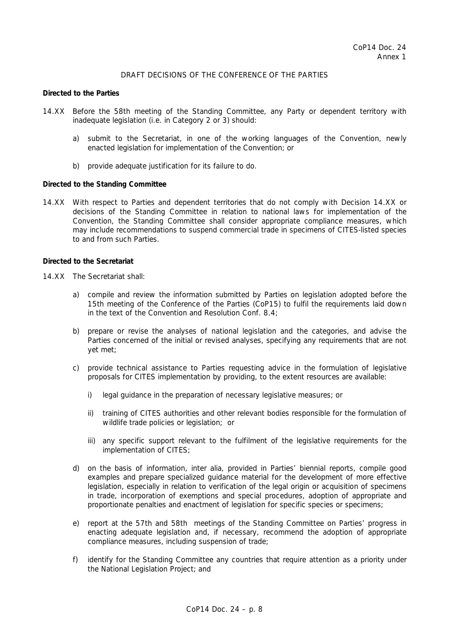## DRAFT DECISIONS OF THE CONFERENCE OF THE PARTIES

#### *Directed to the Parties*

- 14.XX Before the 58th meeting of the Standing Committee, any Party or dependent territory with inadequate legislation (i.e. in Category 2 or 3) should:
	- a) submit to the Secretariat, in one of the working languages of the Convention, newly enacted legislation for implementation of the Convention; or
	- b) provide adequate justification for its failure to do.

## *Directed to the Standing Committee*

14.XX With respect to Parties and dependent territories that do not comply with Decision 14.XX or decisions of the Standing Committee in relation to national laws for implementation of the Convention, the Standing Committee shall consider appropriate compliance measures, which may include recommendations to suspend commercial trade in specimens of CITES-listed species to and from such Parties.

#### *Directed to the Secretariat*

- 14.XX The Secretariat shall:
	- a) compile and review the information submitted by Parties on legislation adopted before the 15th meeting of the Conference of the Parties (CoP15) to fulfil the requirements laid down in the text of the Convention and Resolution Conf. 8.4;
	- b) prepare or revise the analyses of national legislation and the categories, and advise the Parties concerned of the initial or revised analyses, specifying any requirements that are not yet met;
	- c) provide technical assistance to Parties requesting advice in the formulation of legislative proposals for CITES implementation by providing, to the extent resources are available:
		- i) legal guidance in the preparation of necessary legislative measures; or
		- ii) training of CITES authorities and other relevant bodies responsible for the formulation of wildlife trade policies or legislation; or
		- iii) any specific support relevant to the fulfilment of the legislative requirements for the implementation of CITES;
	- d) on the basis of information, *inter alia*, provided in Parties' biennial reports, compile good examples and prepare specialized guidance material for the development of more effective legislation, especially in relation to verification of the legal origin or acquisition of specimens in trade, incorporation of exemptions and special procedures, adoption of appropriate and proportionate penalties and enactment of legislation for specific species or specimens;
	- e) report at the 57th and 58th meetings of the Standing Committee on Parties' progress in enacting adequate legislation and, if necessary, recommend the adoption of appropriate compliance measures, including suspension of trade;
	- f) identify for the Standing Committee any countries that require attention as a priority under the National Legislation Project; and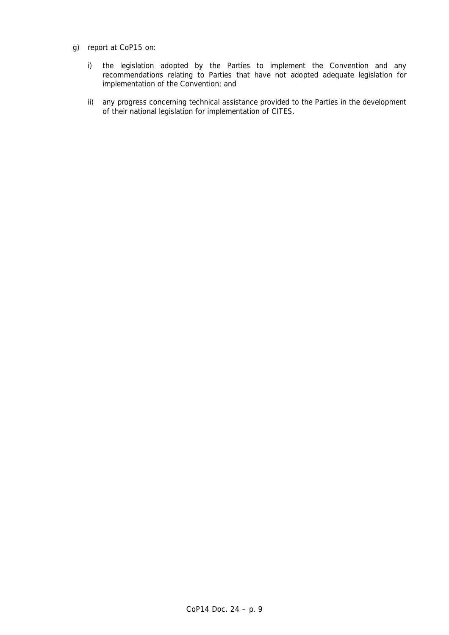- g) report at CoP15 on:
	- i) the legislation adopted by the Parties to implement the Convention and any recommendations relating to Parties that have not adopted adequate legislation for implementation of the Convention; and
	- ii) any progress concerning technical assistance provided to the Parties in the development of their national legislation for implementation of CITES.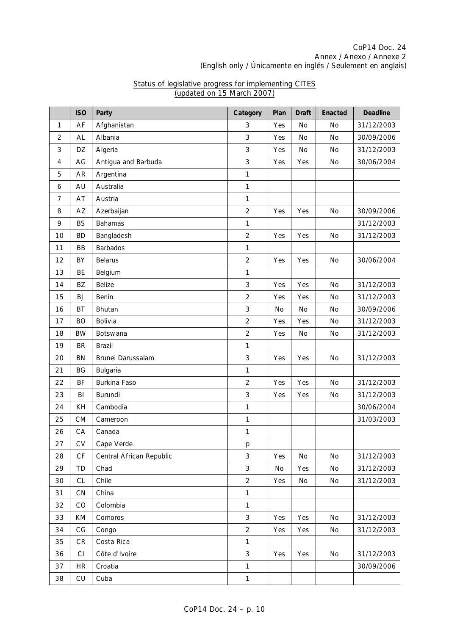# CoP14 Doc. 24 Annex / Anexo / Annexe 2 (English only / Únicamente en inglés / Seulement en anglais)

|                | <b>ISO</b> | Party                    | Category       | Plan | <b>Draft</b> | <b>Enacted</b> | <b>Deadline</b> |
|----------------|------------|--------------------------|----------------|------|--------------|----------------|-----------------|
| $\mathbf{1}$   | AF         | Afghanistan              | 3              | Yes  | No           | No             | 31/12/2003      |
| $\overline{2}$ | AL         | Albania                  | 3              | Yes  | <b>No</b>    | <b>No</b>      | 30/09/2006      |
| 3              | DZ         | Algeria                  | 3              | Yes  | No           | No             | 31/12/2003      |
| 4              | AG         | Antigua and Barbuda      | 3              | Yes  | Yes          | No             | 30/06/2004      |
| 5              | AR         | Argentina                | 1              |      |              |                |                 |
| 6              | AU         | Australia                | 1              |      |              |                |                 |
| $\overline{7}$ | AT         | Austria                  | 1              |      |              |                |                 |
| 8              | AZ         | Azerbaijan               | $\overline{2}$ | Yes  | Yes          | No             | 30/09/2006      |
| 9              | <b>BS</b>  | <b>Bahamas</b>           | $\mathbf{1}$   |      |              |                | 31/12/2003      |
| 10             | <b>BD</b>  | Bangladesh               | $\overline{2}$ | Yes  | Yes          | <b>No</b>      | 31/12/2003      |
| 11             | BB         | <b>Barbados</b>          | $\mathbf{1}$   |      |              |                |                 |
| 12             | BY         | <b>Belarus</b>           | $\overline{2}$ | Yes  | Yes          | No             | 30/06/2004      |
| 13             | <b>BE</b>  | Belgium                  | $\mathbf{1}$   |      |              |                |                 |
| 14             | ΒZ         | <b>Belize</b>            | 3              | Yes  | Yes          | No             | 31/12/2003      |
| 15             | <b>BJ</b>  | Benin                    | $\overline{2}$ | Yes  | Yes          | No             | 31/12/2003      |
| 16             | BT         | Bhutan                   | 3              | No   | No           | No             | 30/09/2006      |
| 17             | <b>BO</b>  | Bolivia                  | $\overline{2}$ | Yes  | Yes          | No             | 31/12/2003      |
| 18             | <b>BW</b>  | Botswana                 | $\overline{c}$ | Yes  | No           | No             | 31/12/2003      |
| 19             | BR         | <b>Brazil</b>            | $\mathbf{1}$   |      |              |                |                 |
| 20             | <b>BN</b>  | Brunei Darussalam        | 3              | Yes  | Yes          | No             | 31/12/2003      |
| 21             | BG         | Bulgaria                 | $\mathbf{1}$   |      |              |                |                 |
| 22             | BF         | Burkina Faso             | $\overline{2}$ | Yes  | Yes          | No             | 31/12/2003      |
| 23             | BI         | Burundi                  | 3              | Yes  | Yes          | No             | 31/12/2003      |
| 24             | KH         | Cambodia                 | 1              |      |              |                | 30/06/2004      |
| 25             | <b>CM</b>  | Cameroon                 | $\mathbf{1}$   |      |              |                | 31/03/2003      |
| 26             | CA         | Canada                   | $\mathbf{1}$   |      |              |                |                 |
| 27             | CV         | Cape Verde               | р              |      |              |                |                 |
| 28             | СF         | Central African Republic | 3              | Yes  | No           | No             | 31/12/2003      |
| 29             | TD         | Chad                     | 3              | No   | Yes          | No             | 31/12/2003      |
| 30             | CL         | Chile                    | $\overline{c}$ | Yes  | No           | No             | 31/12/2003      |
| 31             | <b>CN</b>  | China                    | $\mathbf{1}$   |      |              |                |                 |
| 32             | CO         | Colombia                 | $\mathbf{1}$   |      |              |                |                 |
| 33             | KM         | Comoros                  | 3              | Yes  | Yes          | No             | 31/12/2003      |
| 34             | CG         | Congo                    | $\overline{2}$ | Yes  | Yes          | No             | 31/12/2003      |
| 35             | ${\sf CR}$ | Costa Rica               | $\mathbf{1}$   |      |              |                |                 |
| 36             | CI         | Côte d'Ivoire            | 3              | Yes  | Yes          | No             | 31/12/2003      |
| 37             | <b>HR</b>  | Croatia                  | $\mathbf{1}$   |      |              |                | 30/09/2006      |
| 38             | CU         | Cuba                     | $\mathbf{1}$   |      |              |                |                 |

## Status of legislative progress for implementing CITES (updated on 15 March 2007)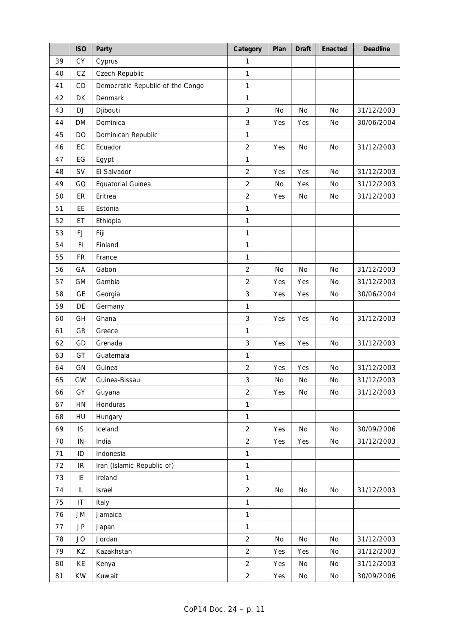|    | <b>ISO</b> | Party                            | Category       | Plan      | <b>Draft</b> | Enacted   | <b>Deadline</b> |
|----|------------|----------------------------------|----------------|-----------|--------------|-----------|-----------------|
| 39 | CY         | Cyprus                           | 1              |           |              |           |                 |
| 40 | CZ         | Czech Republic                   | $\mathbf{1}$   |           |              |           |                 |
| 41 | CD         | Democratic Republic of the Congo | $\mathbf{1}$   |           |              |           |                 |
| 42 | DK         | Denmark                          | 1              |           |              |           |                 |
| 43 | <b>DJ</b>  | Djibouti                         | 3              | <b>No</b> | <b>No</b>    | No        | 31/12/2003      |
| 44 | <b>DM</b>  | Dominica                         | $\sqrt{3}$     | Yes       | Yes          | No        | 30/06/2004      |
| 45 | DO         | Dominican Republic               | 1              |           |              |           |                 |
| 46 | EC         | Ecuador                          | $\overline{2}$ | Yes       | No           | No        | 31/12/2003      |
| 47 | EG         | Egypt                            | $\mathbf{1}$   |           |              |           |                 |
| 48 | SV         | El Salvador                      | $\overline{2}$ | Yes       | Yes          | No        | 31/12/2003      |
| 49 | GQ         | Equatorial Guinea                | $\overline{2}$ | No        | Yes          | No        | 31/12/2003      |
| 50 | ER         | Eritrea                          | $\overline{2}$ | Yes       | No           | No        | 31/12/2003      |
| 51 | EE         | Estonia                          | 1              |           |              |           |                 |
| 52 | ET         | Ethiopia                         | 1              |           |              |           |                 |
| 53 | <b>FJ</b>  | Fiji                             | $\mathbf{1}$   |           |              |           |                 |
| 54 | FI.        | Finland                          | $\mathbf{1}$   |           |              |           |                 |
| 55 | FR         | France                           | 1              |           |              |           |                 |
| 56 | GA         | Gabon                            | $\overline{2}$ | No        | No           | No        | 31/12/2003      |
| 57 | GM         | Gambia                           | $\overline{2}$ | Yes       | Yes          | <b>No</b> | 31/12/2003      |
| 58 | <b>GE</b>  | Georgia                          | 3              | Yes       | Yes          | No        | 30/06/2004      |
| 59 | DE         | Germany                          | 1              |           |              |           |                 |
| 60 | GH         | Ghana                            | 3              | Yes       | Yes          | No        | 31/12/2003      |
| 61 | GR         | Greece                           | $\mathbf{1}$   |           |              |           |                 |
| 62 | GD         | Grenada                          | 3              | Yes       | Yes          | <b>No</b> | 31/12/2003      |
| 63 | GT         | Guatemala                        | 1              |           |              |           |                 |
| 64 | GN         | Guinea                           | $\overline{2}$ | Yes       | Yes          | No        | 31/12/2003      |
| 65 | GW         | Guinea-Bissau                    | 3              | No        | No           | No        | 31/12/2003      |
| 66 | GY         | Guyana                           | 2              | Yes       | No           | No        | 31/12/2003      |
| 67 | HN         | Honduras                         | $\mathbf{1}$   |           |              |           |                 |
| 68 | HU         | Hungary                          | $\mathbf{1}$   |           |              |           |                 |
| 69 | IS         | Iceland                          | $\overline{2}$ | Yes       | No           | No        | 30/09/2006      |
| 70 | IN         | India                            | $\overline{2}$ | Yes       | Yes          | No        | 31/12/2003      |
| 71 | ID         | Indonesia                        | $\mathbf{1}$   |           |              |           |                 |
| 72 | IR         | Iran (Islamic Republic of)       | $\mathbf{1}$   |           |              |           |                 |
| 73 | IE         | Ireland                          | $\mathbf{1}$   |           |              |           |                 |
| 74 | IL         | Israel                           | $\overline{2}$ | No        | No           | No        | 31/12/2003      |
| 75 | IT         | Italy                            | $\mathbf{1}$   |           |              |           |                 |
| 76 | JM         | Jamaica                          | $\mathbf{1}$   |           |              |           |                 |
| 77 | JP         | Japan                            | $\mathbf{1}$   |           |              |           |                 |
| 78 | <b>JO</b>  | Jordan                           | $\overline{2}$ | No        | No           | No        | 31/12/2003      |
| 79 | KZ         | Kazakhstan                       | $\overline{2}$ | Yes       | Yes          | No        | 31/12/2003      |
| 80 | KE         | Kenya                            | $\overline{2}$ | Yes       | No           | No        | 31/12/2003      |
| 81 | <b>KW</b>  | Kuwait                           | $\overline{2}$ | Yes       | No           | $\rm No$  | 30/09/2006      |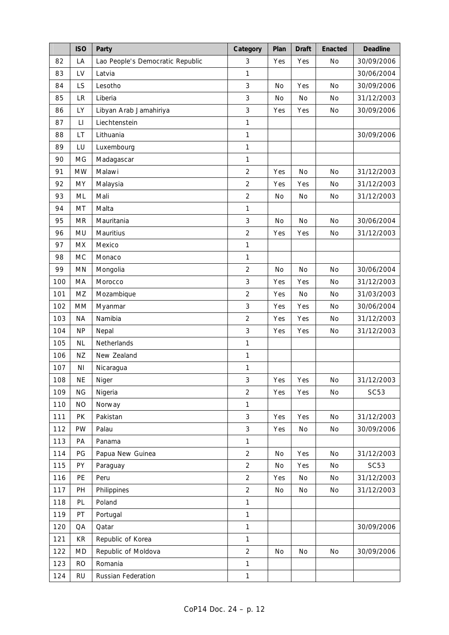|     | <b>ISO</b>             | Party                            | Category       | Plan      | <b>Draft</b> | Enacted   | <b>Deadline</b> |
|-----|------------------------|----------------------------------|----------------|-----------|--------------|-----------|-----------------|
| 82  | LA                     | Lao People's Democratic Republic | 3              | Yes       | Yes          | No        | 30/09/2006      |
| 83  | LV                     | Latvia                           | 1              |           |              |           | 30/06/2004      |
| 84  | LS                     | Lesotho                          | 3              | <b>No</b> | Yes          | <b>No</b> | 30/09/2006      |
| 85  | LR                     | Liberia                          | 3              | No        | No           | No        | 31/12/2003      |
| 86  | LY                     | Libyan Arab Jamahiriya           | 3              | Yes       | Yes          | No        | 30/09/2006      |
| 87  | $\mathsf{L}\mathsf{I}$ | Liechtenstein                    | 1              |           |              |           |                 |
| 88  | LT                     | Lithuania                        | 1              |           |              |           | 30/09/2006      |
| 89  | LU                     | Luxembourg                       | 1              |           |              |           |                 |
| 90  | MG                     | Madagascar                       | 1              |           |              |           |                 |
| 91  | <b>MW</b>              | Malawi                           | $\overline{2}$ | Yes       | <b>No</b>    | No        | 31/12/2003      |
| 92  | MY                     | Malaysia                         | $\overline{c}$ | Yes       | Yes          | No        | 31/12/2003      |
| 93  | ML                     | Mali                             | $\overline{2}$ | No        | No           | No        | 31/12/2003      |
| 94  | MT                     | Malta                            | 1              |           |              |           |                 |
| 95  | <b>MR</b>              | Mauritania                       | 3              | <b>No</b> | <b>No</b>    | <b>No</b> | 30/06/2004      |
| 96  | <b>MU</b>              | Mauritius                        | $\overline{2}$ | Yes       | Yes          | No        | 31/12/2003      |
| 97  | <b>MX</b>              | Mexico                           | 1              |           |              |           |                 |
| 98  | <b>MC</b>              | Monaco                           | 1              |           |              |           |                 |
| 99  | <b>MN</b>              | Mongolia                         | $\overline{2}$ | No        | No           | No        | 30/06/2004      |
| 100 | MA                     | Morocco                          | 3              | Yes       | Yes          | <b>No</b> | 31/12/2003      |
| 101 | MZ                     | Mozambique                       | $\overline{2}$ | Yes       | <b>No</b>    | <b>No</b> | 31/03/2003      |
| 102 | MM                     | Myanmar                          | 3              | Yes       | Yes          | No        | 30/06/2004      |
| 103 | <b>NA</b>              | Namibia                          | $\overline{2}$ | Yes       | Yes          | No        | 31/12/2003      |
| 104 | <b>NP</b>              | Nepal                            | 3              | Yes       | Yes          | No        | 31/12/2003      |
| 105 | <b>NL</b>              | Netherlands                      | 1              |           |              |           |                 |
| 106 | ΝZ                     | New Zealand                      | 1              |           |              |           |                 |
| 107 | ΝI                     | Nicaragua                        | 1              |           |              |           |                 |
| 108 | <b>NE</b>              | Niger                            | 3              | Yes       | Yes          | No        | 31/12/2003      |
| 109 | ΝG                     | Nigeria                          | 2              | Yes       | Yes          | No        | <b>SC53</b>     |
| 110 | <b>NO</b>              | Norway                           | $\mathbf{1}$   |           |              |           |                 |
| 111 | <b>PK</b>              | Pakistan                         | 3              | Yes       | Yes          | No        | 31/12/2003      |
| 112 | PW                     | Palau                            | 3              | Yes       | No           | No        | 30/09/2006      |
| 113 | PA                     | Panama                           | 1              |           |              |           |                 |
| 114 | PG                     | Papua New Guinea                 | $\overline{2}$ | No        | Yes          | No        | 31/12/2003      |
| 115 | PY                     | Paraguay                         | $\overline{2}$ | No        | Yes          | No        | <b>SC53</b>     |
| 116 | PE                     | Peru                             | $\overline{2}$ | Yes       | No           | No        | 31/12/2003      |
| 117 | PH                     | Philippines                      | $\overline{2}$ | No        | No           | No        | 31/12/2003      |
| 118 | PL                     | Poland                           | $\mathbf{1}$   |           |              |           |                 |
| 119 | PT                     | Portugal                         | $\mathbf{1}$   |           |              |           |                 |
| 120 | QA                     | Qatar                            | $\mathbf{1}$   |           |              |           | 30/09/2006      |
| 121 | KR                     | Republic of Korea                | $\mathbf{1}$   |           |              |           |                 |
| 122 | <b>MD</b>              | Republic of Moldova              | $\overline{2}$ | No        | No           | No        | 30/09/2006      |
| 123 | <b>RO</b>              | Romania                          | $\mathbf{1}$   |           |              |           |                 |
| 124 | <b>RU</b>              | Russian Federation               | $\mathbf{1}$   |           |              |           |                 |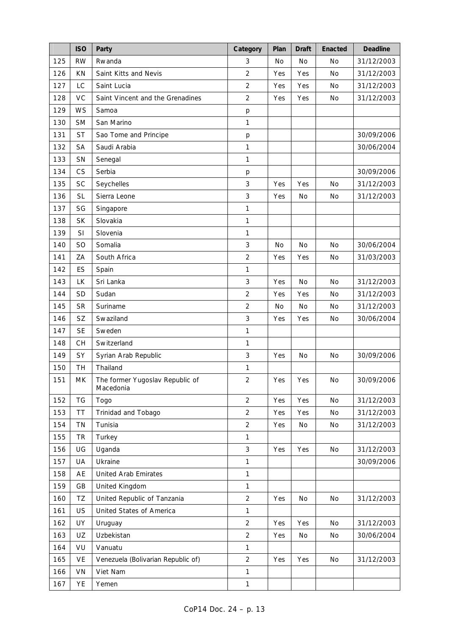|     | <b>ISO</b>     | Party                                        | Category       | Plan      | <b>Draft</b> | Enacted   | <b>Deadline</b> |
|-----|----------------|----------------------------------------------|----------------|-----------|--------------|-----------|-----------------|
| 125 | <b>RW</b>      | Rwanda                                       | 3              | No        | No           | No        | 31/12/2003      |
| 126 | KN             | Saint Kitts and Nevis                        | $\overline{2}$ | Yes       | Yes          | <b>No</b> | 31/12/2003      |
| 127 | <b>LC</b>      | Saint Lucia                                  | $\overline{2}$ | Yes       | Yes          | No        | 31/12/2003      |
| 128 | VC             | Saint Vincent and the Grenadines             | $\overline{2}$ | Yes       | Yes          | No        | 31/12/2003      |
| 129 | <b>WS</b>      | Samoa                                        | р              |           |              |           |                 |
| 130 | <b>SM</b>      | San Marino                                   | $\mathbf{1}$   |           |              |           |                 |
| 131 | <b>ST</b>      | Sao Tome and Principe                        | p              |           |              |           | 30/09/2006      |
| 132 | <b>SA</b>      | Saudi Arabia                                 | $\mathbf{1}$   |           |              |           | 30/06/2004      |
| 133 | SN             | Senegal                                      | $\mathbf{1}$   |           |              |           |                 |
| 134 | <b>CS</b>      | Serbia                                       | p              |           |              |           | 30/09/2006      |
| 135 | <b>SC</b>      | Seychelles                                   | 3              | Yes       | Yes          | <b>No</b> | 31/12/2003      |
| 136 | <b>SL</b>      | Sierra Leone                                 | $\mathfrak{Z}$ | Yes       | <b>No</b>    | No        | 31/12/2003      |
| 137 | SG             | Singapore                                    | 1              |           |              |           |                 |
| 138 | <b>SK</b>      | Slovakia                                     | $\mathbf{1}$   |           |              |           |                 |
| 139 | SI             | Slovenia                                     | $\mathbf{1}$   |           |              |           |                 |
| 140 | S <sub>O</sub> | Somalia                                      | 3              | <b>No</b> | <b>No</b>    | <b>No</b> | 30/06/2004      |
| 141 | ZA             | South Africa                                 | $\overline{2}$ | Yes       | Yes          | No        | 31/03/2003      |
| 142 | ES             | Spain                                        | $\mathbf{1}$   |           |              |           |                 |
| 143 | <b>LK</b>      | Sri Lanka                                    | 3              | Yes       | <b>No</b>    | <b>No</b> | 31/12/2003      |
| 144 | <b>SD</b>      | Sudan                                        | $\overline{2}$ | Yes       | Yes          | <b>No</b> | 31/12/2003      |
| 145 | <b>SR</b>      | Suriname                                     | $\overline{2}$ | No        | No           | No        | 31/12/2003      |
| 146 | <b>SZ</b>      | Swaziland                                    | 3              | Yes       | Yes          | No        | 30/06/2004      |
| 147 | <b>SE</b>      | Sweden                                       | $\mathbf{1}$   |           |              |           |                 |
| 148 | <b>CH</b>      | Switzerland                                  | $\mathbf{1}$   |           |              |           |                 |
| 149 | SY             | Syrian Arab Republic                         | $\sqrt{3}$     | Yes       | No           | No        | 30/09/2006      |
| 150 | TH             | Thailand                                     | 1              |           |              |           |                 |
| 151 | MK             | The former Yugoslav Republic of<br>Macedonia | $\overline{c}$ | Yes       | Yes          | No        | 30/09/2006      |
| 152 | TG             | Togo                                         | $\overline{2}$ | Yes       | Yes          | No        | 31/12/2003      |
| 153 | <b>TT</b>      | Trinidad and Tobago                          | $\overline{2}$ | Yes       | Yes          | No        | 31/12/2003      |
| 154 | <b>TN</b>      | Tunisia                                      | $\overline{2}$ | Yes       | No           | No        | 31/12/2003      |
| 155 | TR             | Turkey                                       | $\mathbf{1}$   |           |              |           |                 |
| 156 | UG             | Uganda                                       | $\mathfrak{Z}$ | Yes       | Yes          | No        | 31/12/2003      |
| 157 | UA             | Ukraine                                      | $\mathbf{1}$   |           |              |           | 30/09/2006      |
| 158 | AE             | <b>United Arab Emirates</b>                  | $\mathbf{1}$   |           |              |           |                 |
| 159 | GB             | United Kingdom                               | $\mathbf{1}$   |           |              |           |                 |
| 160 | TZ             | United Republic of Tanzania                  | $\overline{2}$ | Yes       | No           | No        | 31/12/2003      |
| 161 | <b>US</b>      | United States of America                     | $\mathbf{1}$   |           |              |           |                 |
| 162 | UY             | Uruguay                                      | $\overline{2}$ | Yes       | Yes          | No        | 31/12/2003      |
| 163 | UZ             | Uzbekistan                                   | $\overline{2}$ | Yes       | No           | No        | 30/06/2004      |
| 164 | VU             | Vanuatu                                      | $\mathbf{1}$   |           |              |           |                 |
| 165 | VE             | Venezuela (Bolivarian Republic of)           | $\overline{2}$ | Yes       | Yes          | No        | 31/12/2003      |
| 166 | VN             | Viet Nam                                     | $\mathbf{1}$   |           |              |           |                 |
| 167 | YE             | Yemen                                        | $\mathbf{1}$   |           |              |           |                 |